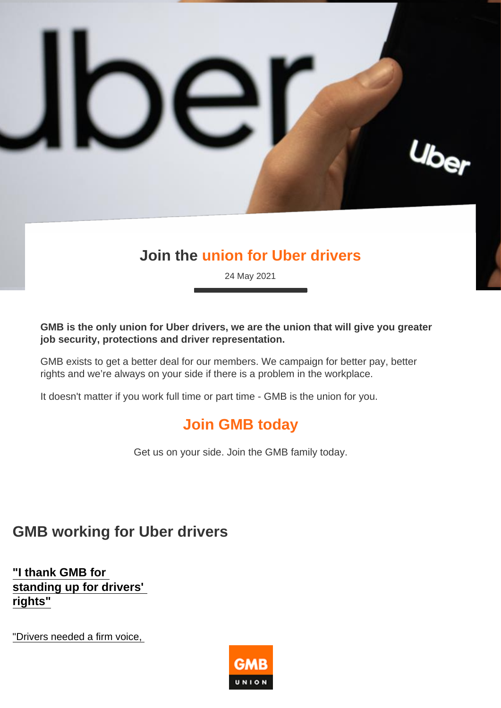## Join the union for Uber drivers

24 May 2021

GMB is the only union for Uber drivers, we are the union that will give you greater job security, protections and driver representation.

GMB exists to get a better deal for our members. We campaign for better pay, better rights and we're always on your side if there is a problem in the workplace.

It doesn't matter if you work full time or part time - GMB is the union for you.

## Join GMB today

Get us on your side. Join the GMB family today.

## GMB working for Uber drivers

"I thank GMB for [standing up for drivers'](https://www.gmb.org.uk/stories/i-thank-gmb-standing-drivers-rights)  rights"

"Drivers needed a firm voice,